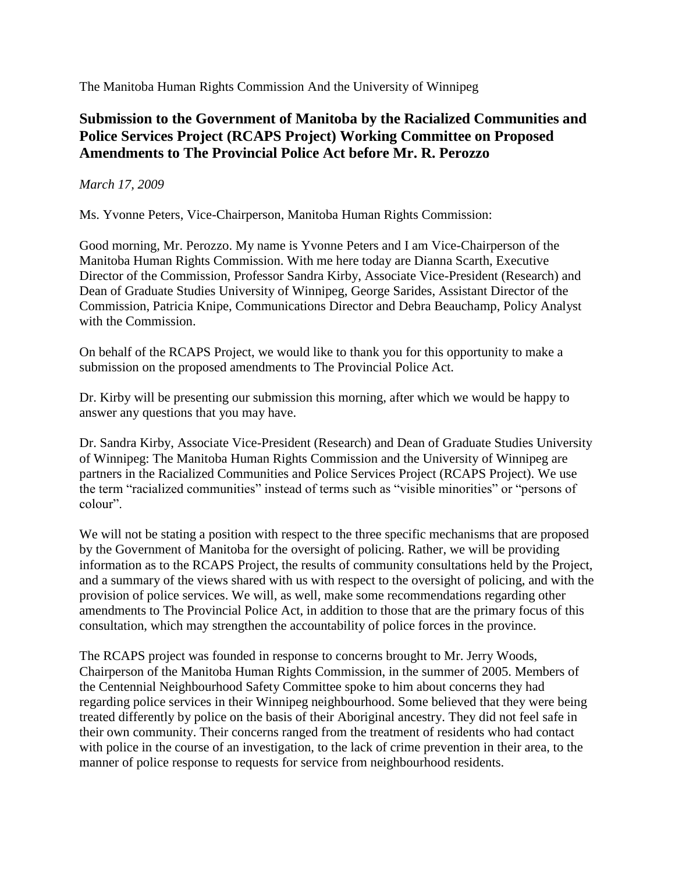The Manitoba Human Rights Commission And the University of Winnipeg

## **Submission to the Government of Manitoba by the Racialized Communities and Police Services Project (RCAPS Project) Working Committee on Proposed Amendments to The Provincial Police Act before Mr. R. Perozzo**

## *March 17, 2009*

Ms. Yvonne Peters, Vice-Chairperson, Manitoba Human Rights Commission:

Good morning, Mr. Perozzo. My name is Yvonne Peters and I am Vice-Chairperson of the Manitoba Human Rights Commission. With me here today are Dianna Scarth, Executive Director of the Commission, Professor Sandra Kirby, Associate Vice-President (Research) and Dean of Graduate Studies University of Winnipeg, George Sarides, Assistant Director of the Commission, Patricia Knipe, Communications Director and Debra Beauchamp, Policy Analyst with the Commission.

On behalf of the RCAPS Project, we would like to thank you for this opportunity to make a submission on the proposed amendments to The Provincial Police Act.

Dr. Kirby will be presenting our submission this morning, after which we would be happy to answer any questions that you may have.

Dr. Sandra Kirby, Associate Vice-President (Research) and Dean of Graduate Studies University of Winnipeg: The Manitoba Human Rights Commission and the University of Winnipeg are partners in the Racialized Communities and Police Services Project (RCAPS Project). We use the term "racialized communities" instead of terms such as "visible minorities" or "persons of colour".

We will not be stating a position with respect to the three specific mechanisms that are proposed by the Government of Manitoba for the oversight of policing. Rather, we will be providing information as to the RCAPS Project, the results of community consultations held by the Project, and a summary of the views shared with us with respect to the oversight of policing, and with the provision of police services. We will, as well, make some recommendations regarding other amendments to The Provincial Police Act, in addition to those that are the primary focus of this consultation, which may strengthen the accountability of police forces in the province.

The RCAPS project was founded in response to concerns brought to Mr. Jerry Woods, Chairperson of the Manitoba Human Rights Commission, in the summer of 2005. Members of the Centennial Neighbourhood Safety Committee spoke to him about concerns they had regarding police services in their Winnipeg neighbourhood. Some believed that they were being treated differently by police on the basis of their Aboriginal ancestry. They did not feel safe in their own community. Their concerns ranged from the treatment of residents who had contact with police in the course of an investigation, to the lack of crime prevention in their area, to the manner of police response to requests for service from neighbourhood residents.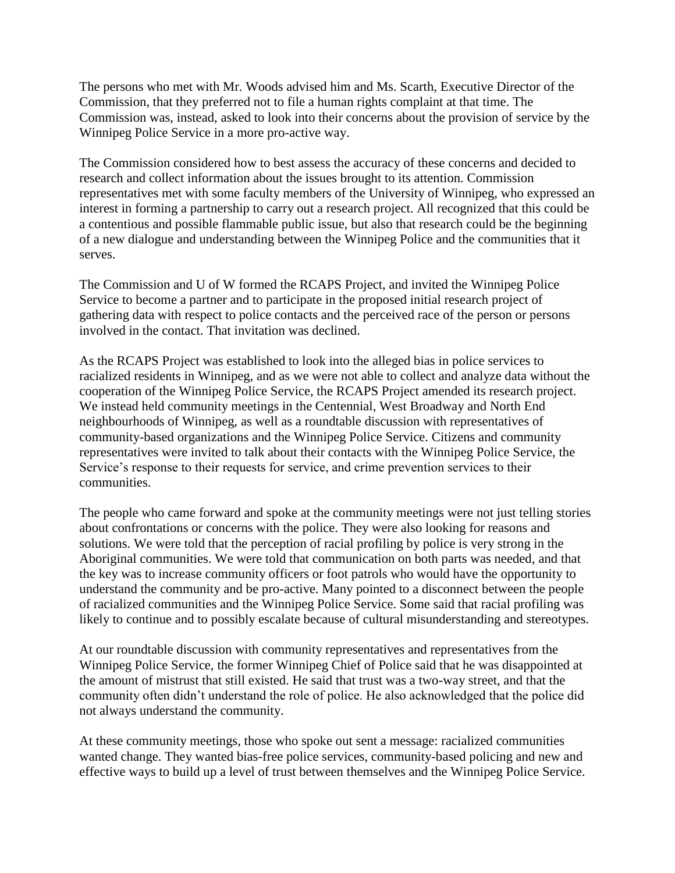The persons who met with Mr. Woods advised him and Ms. Scarth, Executive Director of the Commission, that they preferred not to file a human rights complaint at that time. The Commission was, instead, asked to look into their concerns about the provision of service by the Winnipeg Police Service in a more pro-active way.

The Commission considered how to best assess the accuracy of these concerns and decided to research and collect information about the issues brought to its attention. Commission representatives met with some faculty members of the University of Winnipeg, who expressed an interest in forming a partnership to carry out a research project. All recognized that this could be a contentious and possible flammable public issue, but also that research could be the beginning of a new dialogue and understanding between the Winnipeg Police and the communities that it serves.

The Commission and U of W formed the RCAPS Project, and invited the Winnipeg Police Service to become a partner and to participate in the proposed initial research project of gathering data with respect to police contacts and the perceived race of the person or persons involved in the contact. That invitation was declined.

As the RCAPS Project was established to look into the alleged bias in police services to racialized residents in Winnipeg, and as we were not able to collect and analyze data without the cooperation of the Winnipeg Police Service, the RCAPS Project amended its research project. We instead held community meetings in the Centennial, West Broadway and North End neighbourhoods of Winnipeg, as well as a roundtable discussion with representatives of community-based organizations and the Winnipeg Police Service. Citizens and community representatives were invited to talk about their contacts with the Winnipeg Police Service, the Service's response to their requests for service, and crime prevention services to their communities.

The people who came forward and spoke at the community meetings were not just telling stories about confrontations or concerns with the police. They were also looking for reasons and solutions. We were told that the perception of racial profiling by police is very strong in the Aboriginal communities. We were told that communication on both parts was needed, and that the key was to increase community officers or foot patrols who would have the opportunity to understand the community and be pro-active. Many pointed to a disconnect between the people of racialized communities and the Winnipeg Police Service. Some said that racial profiling was likely to continue and to possibly escalate because of cultural misunderstanding and stereotypes.

At our roundtable discussion with community representatives and representatives from the Winnipeg Police Service, the former Winnipeg Chief of Police said that he was disappointed at the amount of mistrust that still existed. He said that trust was a two-way street, and that the community often didn't understand the role of police. He also acknowledged that the police did not always understand the community.

At these community meetings, those who spoke out sent a message: racialized communities wanted change. They wanted bias-free police services, community-based policing and new and effective ways to build up a level of trust between themselves and the Winnipeg Police Service.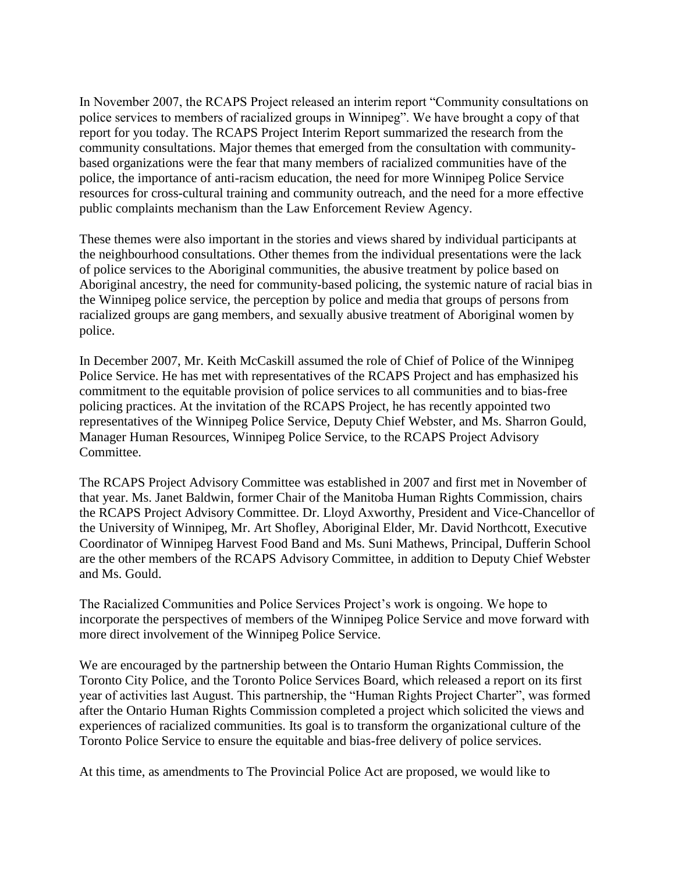In November 2007, the RCAPS Project released an interim report "Community consultations on police services to members of racialized groups in Winnipeg". We have brought a copy of that report for you today. The RCAPS Project Interim Report summarized the research from the community consultations. Major themes that emerged from the consultation with communitybased organizations were the fear that many members of racialized communities have of the police, the importance of anti-racism education, the need for more Winnipeg Police Service resources for cross-cultural training and community outreach, and the need for a more effective public complaints mechanism than the Law Enforcement Review Agency.

These themes were also important in the stories and views shared by individual participants at the neighbourhood consultations. Other themes from the individual presentations were the lack of police services to the Aboriginal communities, the abusive treatment by police based on Aboriginal ancestry, the need for community-based policing, the systemic nature of racial bias in the Winnipeg police service, the perception by police and media that groups of persons from racialized groups are gang members, and sexually abusive treatment of Aboriginal women by police.

In December 2007, Mr. Keith McCaskill assumed the role of Chief of Police of the Winnipeg Police Service. He has met with representatives of the RCAPS Project and has emphasized his commitment to the equitable provision of police services to all communities and to bias-free policing practices. At the invitation of the RCAPS Project, he has recently appointed two representatives of the Winnipeg Police Service, Deputy Chief Webster, and Ms. Sharron Gould, Manager Human Resources, Winnipeg Police Service, to the RCAPS Project Advisory Committee.

The RCAPS Project Advisory Committee was established in 2007 and first met in November of that year. Ms. Janet Baldwin, former Chair of the Manitoba Human Rights Commission, chairs the RCAPS Project Advisory Committee. Dr. Lloyd Axworthy, President and Vice-Chancellor of the University of Winnipeg, Mr. Art Shofley, Aboriginal Elder, Mr. David Northcott, Executive Coordinator of Winnipeg Harvest Food Band and Ms. Suni Mathews, Principal, Dufferin School are the other members of the RCAPS Advisory Committee, in addition to Deputy Chief Webster and Ms. Gould.

The Racialized Communities and Police Services Project's work is ongoing. We hope to incorporate the perspectives of members of the Winnipeg Police Service and move forward with more direct involvement of the Winnipeg Police Service.

We are encouraged by the partnership between the Ontario Human Rights Commission, the Toronto City Police, and the Toronto Police Services Board, which released a report on its first year of activities last August. This partnership, the "Human Rights Project Charter", was formed after the Ontario Human Rights Commission completed a project which solicited the views and experiences of racialized communities. Its goal is to transform the organizational culture of the Toronto Police Service to ensure the equitable and bias-free delivery of police services.

At this time, as amendments to The Provincial Police Act are proposed, we would like to